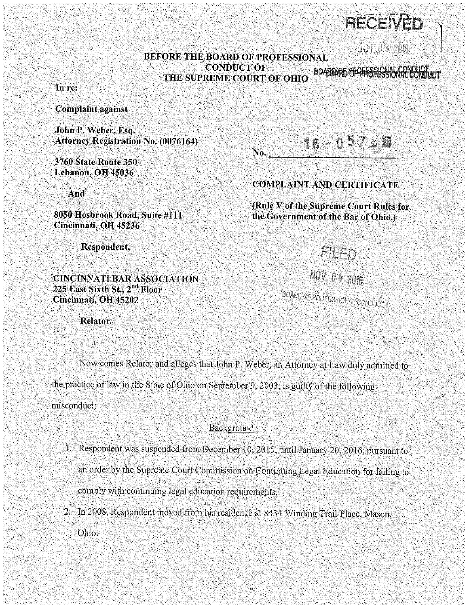$\left[\begin{array}{c|c}\text{CED} & \text{SE} \end{array}\right]$ 

# BEFORE THE BOARD OF PROFESSIONAL **BOARD OF PROFESSIONAL DEFAULT UP 2016**<br>CONDUCT OF **DE SORDARD BOARD CONDUCT**<br>REME COURT OF OHIO CONDUCT OF SUPREME COURT OF OHIO BOARDAL SUPREME COURT OF OHIO

No.

In re:

Complaint against

John P. Weber, Esq. Attorney Registration No. (0076164)

3760 State Route 350 Lebanon, OH 45036

And

8050 Hosbrook Road, Suite #111 Cincinnati, OH 45236

Respondent,

#### CINCINNATI BAR ASSOCIATION 225 East Sixth St., 2"d Floor Cincinnati, OH 45202

16 -

### COMPLAINT AND CERTIFICATE

(Rule V of the Supreme Court Rules for the Government of the Bar of Ohio.)



# NOV 04 2016

BOARD OF PROFESSIONAL CONDUCT

Relator.

Now comes Relator and alleges that John P. Weber, an Attorney at Law duly admitted to the practice of law in the State of Ohio on September 9, 2003, is guilty of the following misconduct:

#### **Background**

- 1. Respondent was suspended from December 10, 2015, until January 20, 2016, pursuant to an order by the Supreme Court Commission on Continuing Legal Education for failing to comoly with continuing legal education requirements.
- 2. In 2008, Respondent moved from his residence at 8434 Winding Trail Place, Mason, Ohio.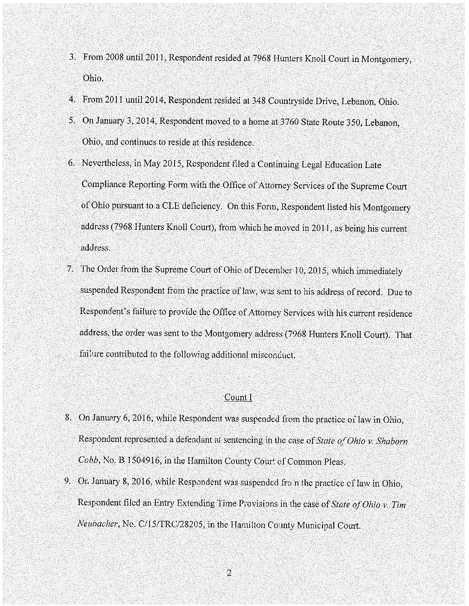- 3. From 2008 until 2011, Respondent resided at 7968 Hunters Knoll Court in Montgomery, Ohio.
- 4. From 2011 until 2014, Respondent resided at 348 Countryside Drive, Lebanon, Ohio.
- 5. On January 3, 2014, Respondent moved to a home at 3760 State Route 350, Lebanon, Ohio, and continues to reside at this residence.
- 6. Nevertheless, in May 2015, Respondent filed a Continuing Legal Education Late Compliance Reporting Form with the Office of Attorney Services of the Supreme Court of Ohio pursuant to a CLE deficiency. On this Fonn, Respondent listed his Montgomery address (7968 Hunters Knoll Court), from which he moved in 2011, as being his current address.
- 7. The Order from the Supreme Court of Ohio of December 10, 2015, which immediately suspended Respondent from the practice of law, was sent to his address of record. Due to Respondent's failure to provide the Office of Attorney Services with his current residence address, the order was sent to the Montgomery address (7968 Hunters Knoll Court). That failure contributed to the following additional misconduct.

#### Count I

- 8. On January 6, 2016, while Respondent was suspended from the practice of law in Ohio, Respondent represented a defendant at sentencing in the case of *State of Ohio v. Shaborn* Cobb, No. B 1504916, in the Hamilton County Court of Common Pleas.
- 9. Or. January 8, 2016, while Respondent was suspended fro n the practice of law in Ohio, Respondent filed an Entry Extending Time Provisions in the case of *State of Ohio v. Tim Neubacher*, No. C/15/TRC/28205, in the Hamilton County Municipal Court.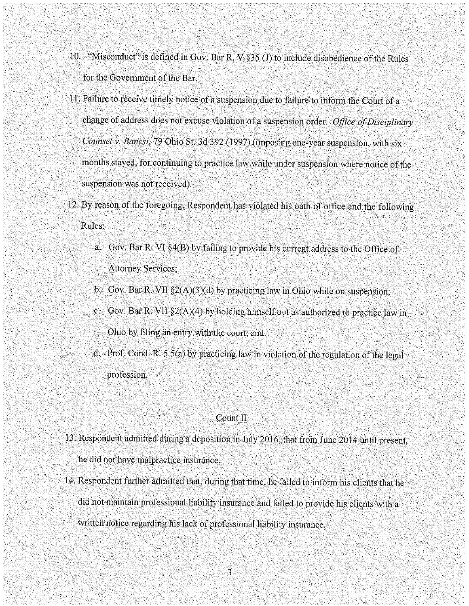- 10. "Misconduct" is defined in Gov. Bar R. V §35 (J) to include disobedience of the Rules for the Government of the Bar.
- 11. Failure to receive timely notice of a suspension due to failure to inform the Court of a change of address does not excuse violation of a suspension order. *Office of Disciplinary Counsel v. Bancsi,* 79 Ohio St. 3d 392 (1997) (imposirg one-year suspension, with six months stayed, for continuing to practice law while under suspension where notice of the suspension was not received).
- 12. By reason of the foregoing, Respondent has violated his oath of office and the following Rules;
	- a. Gov. Bar R. VI §4(B) by failing to provide his current address to the Office of Attorney Services;
	- b. Gov. Bar R. VII §2(A)(3)(d) by practicing law in Ohio while on suspension;
	- c. Gov. Bar R. VII  $\S2(A)(4)$  by holding himself out as authorized to practice law in Ohio by filing an entry with the court; and
	- d. Prof. Cond. R. 5.S(a) by practicing law in violation of the regulation of the legal profession.

#### Count II

- 13. Respondent admitted during a deposition in July 2016, that from June 2014 until present, he did not have malpractice insurance.
- 14. Respondent further admitted that, during that time, he failed to inform his clients that he did not maintain professional liability insurance and failed to provide his clients with a written notice regarding his lack of professional liability insurance.

3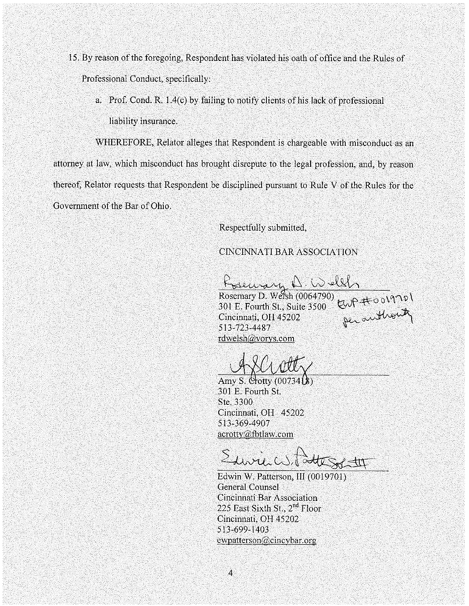- 15. By reason of the foregoing, Respondent has violated his oath of office and the Rules of Professional Conduct, specifically:
	- a. Prof. Cond. R. 1.4(c) by failing to notify clients of his lack of professional liability insurance.

WHEREFORE, Relator alleges that Respondent is chargeable with misconduct as an attorney at law, which misconduct has brought disrepute to the legal profession, and, by reason thereof, Relator requests that Respondent be disciplined pursuant to Rule V of the Rules for the Government of the Bar of Ohio.

Respectfully submitted,

## CINCINNATI BAR ASSOCIATION

Bearar A Welth Rosemary D. Weish (0064790)  $\frac{1}{10}$  p  $\pm$  0  $\sqrt{10}$ 301 E. Fourth St., Suite 3500  $\left\{\bigcup_{i=1}^n A_i\right\}$ sul B. Pourth St., Suite 3500 Col<br>Cincinnati, OH 45202 per authority 513-723-4487

rdwelsh@vorys.com

Amy S. Crotty (0073418) 301 E. Fourth St. Ste. 3300 Cincinnati, OH 45202 513-369-4907 acrotty@fbtlaw.com

Suvil W. Pott Sol th

Edwin W. Patterson, III (0019701) General Counsel Cincinnati Bar Association 225 East Sixth St., 2<sup>nd</sup> Floor Cincinnati, OH 45202 513-699-1403  $ewpatterson@cincybar.org$